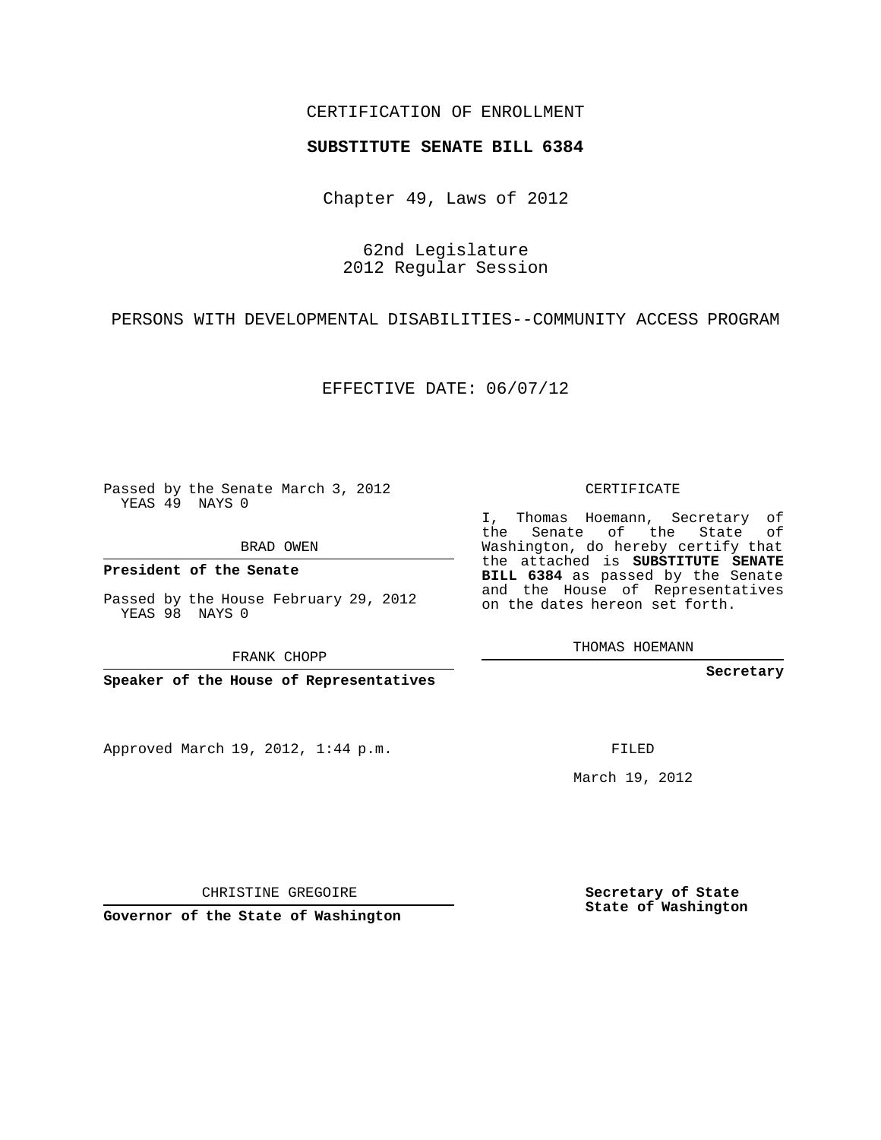## CERTIFICATION OF ENROLLMENT

### **SUBSTITUTE SENATE BILL 6384**

Chapter 49, Laws of 2012

62nd Legislature 2012 Regular Session

PERSONS WITH DEVELOPMENTAL DISABILITIES--COMMUNITY ACCESS PROGRAM

EFFECTIVE DATE: 06/07/12

Passed by the Senate March 3, 2012 YEAS 49 NAYS 0

BRAD OWEN

**President of the Senate**

Passed by the House February 29, 2012 YEAS 98 NAYS 0

FRANK CHOPP

**Speaker of the House of Representatives**

Approved March 19, 2012, 1:44 p.m.

CERTIFICATE

I, Thomas Hoemann, Secretary of the Senate of the State of Washington, do hereby certify that the attached is **SUBSTITUTE SENATE BILL 6384** as passed by the Senate and the House of Representatives on the dates hereon set forth.

THOMAS HOEMANN

**Secretary**

FILED

March 19, 2012

**Secretary of State State of Washington**

CHRISTINE GREGOIRE

**Governor of the State of Washington**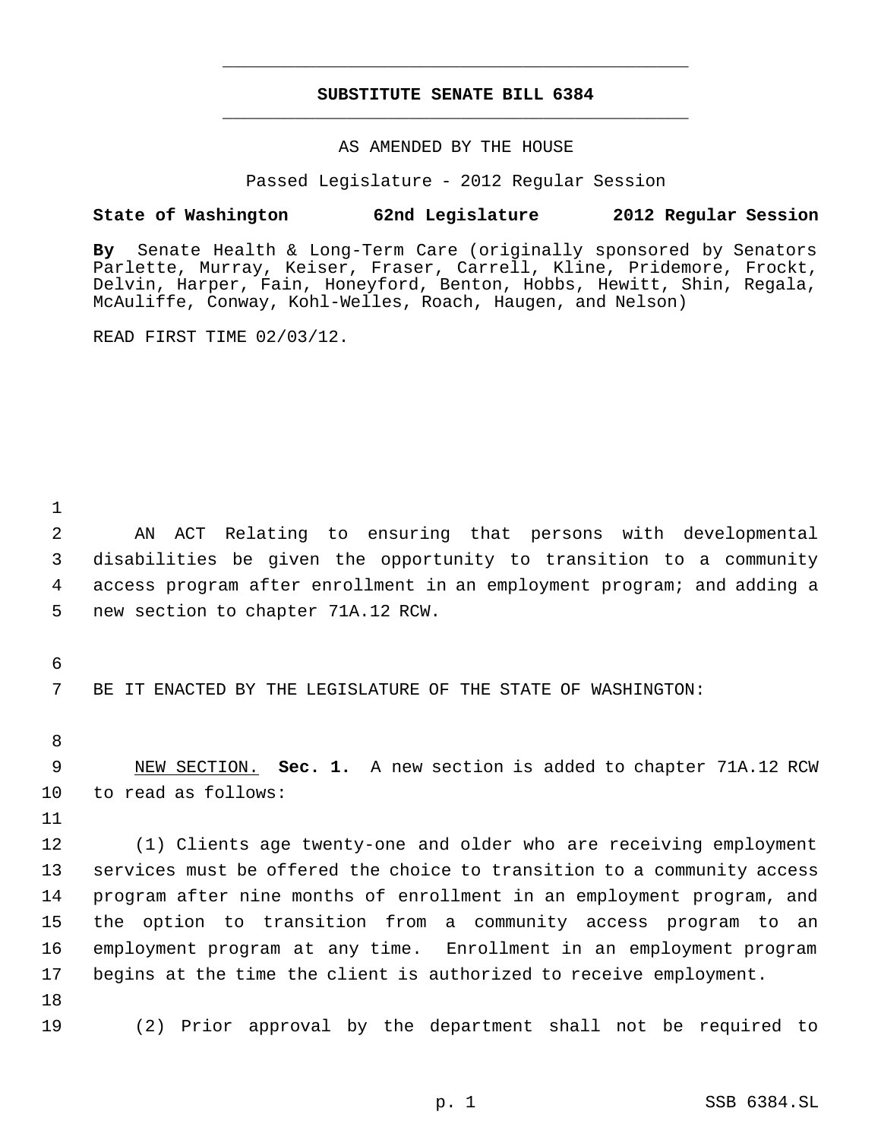# **SUBSTITUTE SENATE BILL 6384** \_\_\_\_\_\_\_\_\_\_\_\_\_\_\_\_\_\_\_\_\_\_\_\_\_\_\_\_\_\_\_\_\_\_\_\_\_\_\_\_\_\_\_\_\_

\_\_\_\_\_\_\_\_\_\_\_\_\_\_\_\_\_\_\_\_\_\_\_\_\_\_\_\_\_\_\_\_\_\_\_\_\_\_\_\_\_\_\_\_\_

### AS AMENDED BY THE HOUSE

Passed Legislature - 2012 Regular Session

## **State of Washington 62nd Legislature 2012 Regular Session**

**By** Senate Health & Long-Term Care (originally sponsored by Senators Parlette, Murray, Keiser, Fraser, Carrell, Kline, Pridemore, Frockt, Delvin, Harper, Fain, Honeyford, Benton, Hobbs, Hewitt, Shin, Regala, McAuliffe, Conway, Kohl-Welles, Roach, Haugen, and Nelson)

READ FIRST TIME 02/03/12.

 AN ACT Relating to ensuring that persons with developmental disabilities be given the opportunity to transition to a community access program after enrollment in an employment program; and adding a new section to chapter 71A.12 RCW.

BE IT ENACTED BY THE LEGISLATURE OF THE STATE OF WASHINGTON:

 NEW SECTION. **Sec. 1.** A new section is added to chapter 71A.12 RCW to read as follows:

 (1) Clients age twenty-one and older who are receiving employment services must be offered the choice to transition to a community access program after nine months of enrollment in an employment program, and the option to transition from a community access program to an employment program at any time. Enrollment in an employment program begins at the time the client is authorized to receive employment.

(2) Prior approval by the department shall not be required to